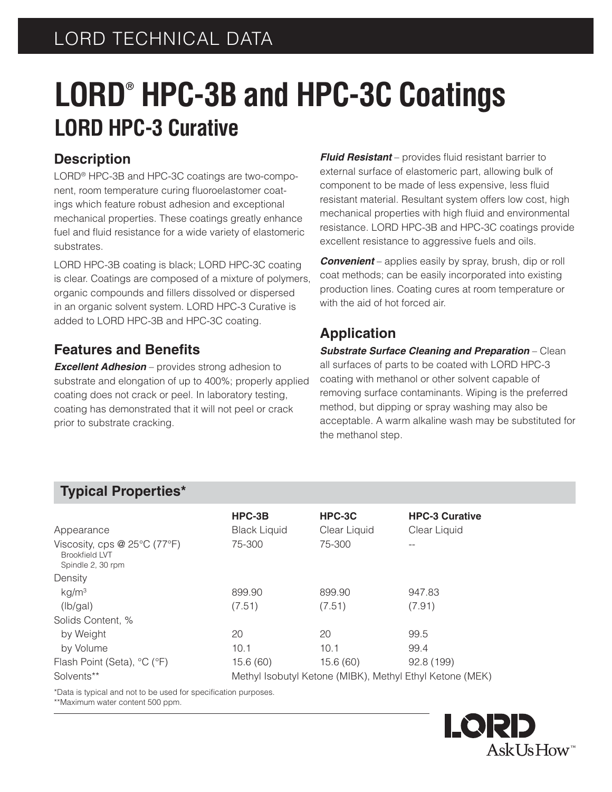# **LORD® HPC-3B and HPC-3C Coatings LORD HPC-3 Curative**

### **Description**

LORD® HPC-3B and HPC-3C coatings are two-component, room temperature curing fluoroelastomer coatings which feature robust adhesion and exceptional mechanical properties. These coatings greatly enhance fuel and fluid resistance for a wide variety of elastomeric substrates.

LORD HPC-3B coating is black; LORD HPC-3C coating is clear. Coatings are composed of a mixture of polymers, organic compounds and fillers dissolved or dispersed in an organic solvent system. LORD HPC-3 Curative is added to LORD HPC-3B and HPC-3C coating.

### **Features and Benefits**

*Excellent Adhesion* – provides strong adhesion to substrate and elongation of up to 400%; properly applied coating does not crack or peel. In laboratory testing, coating has demonstrated that it will not peel or crack prior to substrate cracking.

**Fluid Resistant** – provides fluid resistant barrier to external surface of elastomeric part, allowing bulk of component to be made of less expensive, less fluid resistant material. Resultant system offers low cost, high mechanical properties with high fluid and environmental resistance. LORD HPC-3B and HPC-3C coatings provide excellent resistance to aggressive fuels and oils.

*Convenient* – applies easily by spray, brush, dip or roll coat methods; can be easily incorporated into existing production lines. Coating cures at room temperature or with the aid of hot forced air.

### **Application**

*Substrate Surface Cleaning and Preparation* – Clean all surfaces of parts to be coated with LORD HPC-3 coating with methanol or other solvent capable of removing surface contaminants. Wiping is the preferred method, but dipping or spray washing may also be acceptable. A warm alkaline wash may be substituted for the methanol step.

### **Typical Properties\***

| Appearance                                                                 | HPC-3B<br><b>Black Liquid</b>                            | HPC-3C<br>Clear Liquid | <b>HPC-3 Curative</b><br>Clear Liquid |
|----------------------------------------------------------------------------|----------------------------------------------------------|------------------------|---------------------------------------|
| Viscosity, cps @ 25°C (77°F)<br><b>Brookfield LVT</b><br>Spindle 2, 30 rpm | 75-300                                                   | 75-300                 |                                       |
| Density                                                                    |                                                          |                        |                                       |
| kg/m <sup>3</sup>                                                          | 899.90                                                   | 899.90                 | 947.83                                |
| (lb/gal)                                                                   | (7.51)                                                   | (7.51)                 | (7.91)                                |
| Solids Content, %                                                          |                                                          |                        |                                       |
| by Weight                                                                  | 20                                                       | 20                     | 99.5                                  |
| by Volume                                                                  | 10.1                                                     | 10.1                   | 99.4                                  |
| Flash Point (Seta), °C (°F)                                                | 15.6(60)                                                 | 15.6(60)               | 92.8 (199)                            |
| Solvents**                                                                 | Methyl Isobutyl Ketone (MIBK), Methyl Ethyl Ketone (MEK) |                        |                                       |

\*Data is typical and not to be used for specification purposes.

\*\*Maximum water content 500 ppm.

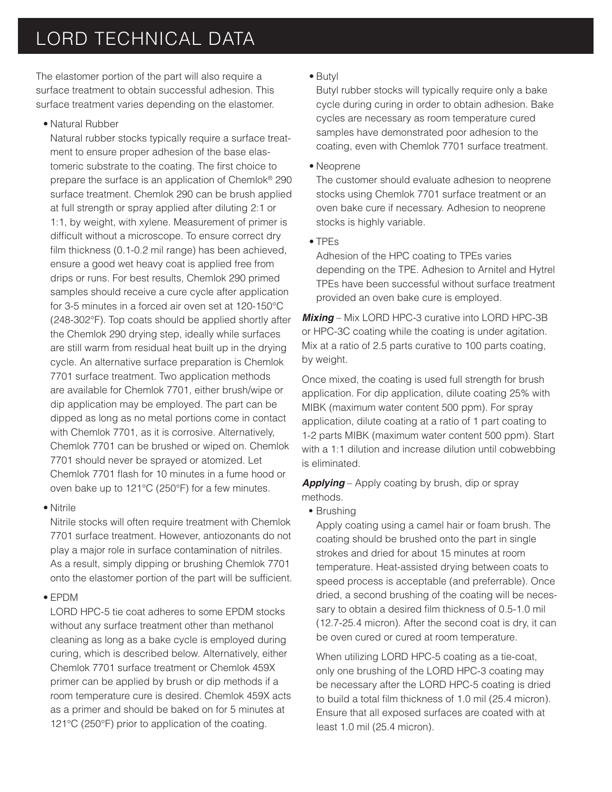## LORD TECHNICAL DATA

The elastomer portion of the part will also require a surface treatment to obtain successful adhesion. This surface treatment varies depending on the elastomer.

• Natural Rubber

 Natural rubber stocks typically require a surface treatment to ensure proper adhesion of the base elastomeric substrate to the coating. The first choice to prepare the surface is an application of Chemlok® 290 surface treatment. Chemlok 290 can be brush applied at full strength or spray applied after diluting 2:1 or 1:1, by weight, with xylene. Measurement of primer is difficult without a microscope. To ensure correct dry film thickness  $(0.1$ -0.2 mil range) has been achieved, ensure a good wet heavy coat is applied free from drips or runs. For best results, Chemlok 290 primed samples should receive a cure cycle after application for 3-5 minutes in a forced air oven set at 120-150°C (248-302°F). Top coats should be applied shortly after the Chemlok 290 drying step, ideally while surfaces are still warm from residual heat built up in the drying cycle. An alternative surface preparation is Chemlok 7701 surface treatment. Two application methods are available for Chemlok 7701, either brush/wipe or dip application may be employed. The part can be dipped as long as no metal portions come in contact with Chemlok 7701, as it is corrosive. Alternatively, Chemlok 7701 can be brushed or wiped on. Chemlok 7701 should never be sprayed or atomized. Let Chemlok 7701 flash for 10 minutes in a fume hood or oven bake up to 121°C (250°F) for a few minutes.

• Nitrile

 Nitrile stocks will often require treatment with Chemlok 7701 surface treatment. However, antiozonants do not play a major role in surface contamination of nitriles. As a result, simply dipping or brushing Chemlok 7701 onto the elastomer portion of the part will be sufficient.

#### • EPDM

 LORD HPC-5 tie coat adheres to some EPDM stocks without any surface treatment other than methanol cleaning as long as a bake cycle is employed during curing, which is described below. Alternatively, either Chemlok 7701 surface treatment or Chemlok 459X primer can be applied by brush or dip methods if a room temperature cure is desired. Chemlok 459X acts as a primer and should be baked on for 5 minutes at 121°C (250°F) prior to application of the coating.

• Butyl

 Butyl rubber stocks will typically require only a bake cycle during curing in order to obtain adhesion. Bake cycles are necessary as room temperature cured samples have demonstrated poor adhesion to the coating, even with Chemlok 7701 surface treatment.

• Neoprene

 The customer should evaluate adhesion to neoprene stocks using Chemlok 7701 surface treatment or an oven bake cure if necessary. Adhesion to neoprene stocks is highly variable.

• TPEs

 Adhesion of the HPC coating to TPEs varies depending on the TPE. Adhesion to Arnitel and Hytrel TPEs have been successful without surface treatment provided an oven bake cure is employed.

*Mixing* – Mix LORD HPC-3 curative into LORD HPC-3B or HPC-3C coating while the coating is under agitation. Mix at a ratio of 2.5 parts curative to 100 parts coating, by weight.

Once mixed, the coating is used full strength for brush application. For dip application, dilute coating 25% with MIBK (maximum water content 500 ppm). For spray application, dilute coating at a ratio of 1 part coating to 1-2 parts MIBK (maximum water content 500 ppm). Start with a 1:1 dilution and increase dilution until cobwebbing is eliminated.

*Applying* – Apply coating by brush, dip or spray methods.

**•** Brushing

Apply coating using a camel hair or foam brush. The coating should be brushed onto the part in single strokes and dried for about 15 minutes at room temperature. Heat-assisted drying between coats to speed process is acceptable (and preferrable). Once dried, a second brushing of the coating will be necessary to obtain a desired film thickness of 0.5-1.0 mil (12.7-25.4 micron). After the second coat is dry, it can be oven cured or cured at room temperature.

 When utilizing LORD HPC-5 coating as a tie-coat, only one brushing of the LORD HPC-3 coating may be necessary after the LORD HPC-5 coating is dried to build a total film thickness of 1.0 mil (25.4 micron). Ensure that all exposed surfaces are coated with at least 1.0 mil (25.4 micron).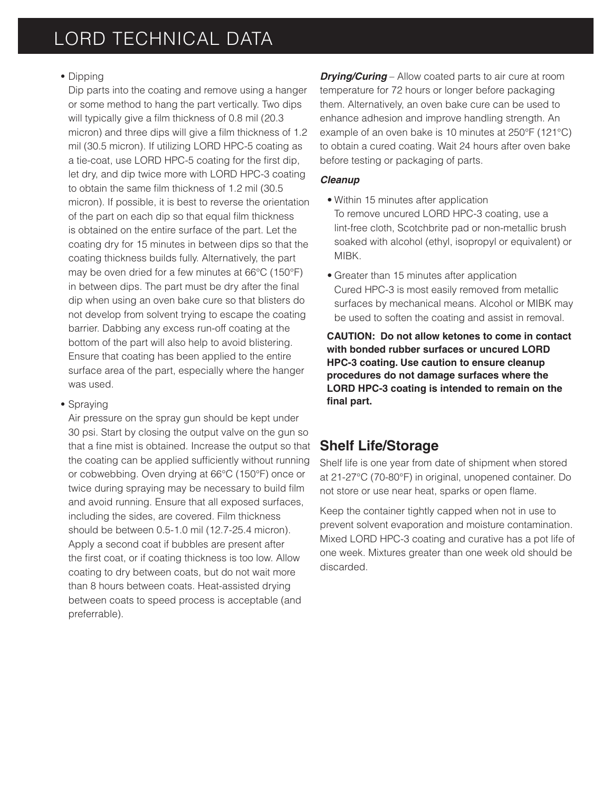#### **•** Dipping

 Dip parts into the coating and remove using a hanger or some method to hang the part vertically. Two dips will typically give a film thickness of 0.8 mil (20.3) micron) and three dips will give a film thickness of 1.2 mil (30.5 micron). If utilizing LORD HPC-5 coating as a tie-coat, use LORD HPC-5 coating for the first dip, let dry, and dip twice more with LORD HPC-3 coating to obtain the same film thickness of 1.2 mil (30.5) micron). If possible, it is best to reverse the orientation of the part on each dip so that equal film thickness is obtained on the entire surface of the part. Let the coating dry for 15 minutes in between dips so that the coating thickness builds fully. Alternatively, the part may be oven dried for a few minutes at 66°C (150°F) in between dips. The part must be dry after the final dip when using an oven bake cure so that blisters do not develop from solvent trying to escape the coating barrier. Dabbing any excess run-off coating at the bottom of the part will also help to avoid blistering. Ensure that coating has been applied to the entire surface area of the part, especially where the hanger was used.

#### **•** Spraying

Air pressure on the spray gun should be kept under 30 psi. Start by closing the output valve on the gun so that a fine mist is obtained. Increase the output so that the coating can be applied sufficiently without running or cobwebbing. Oven drying at 66°C (150°F) once or twice during spraying may be necessary to build film and avoid running. Ensure that all exposed surfaces, including the sides, are covered. Film thickness should be between 0.5-1.0 mil (12.7-25.4 micron). Apply a second coat if bubbles are present after the first coat, or if coating thickness is too low. Allow coating to dry between coats, but do not wait more than 8 hours between coats. Heat-assisted drying between coats to speed process is acceptable (and preferrable).

*Drying/Curing* – Allow coated parts to air cure at room temperature for 72 hours or longer before packaging them. Alternatively, an oven bake cure can be used to enhance adhesion and improve handling strength. An example of an oven bake is 10 minutes at 250°F (121°C) to obtain a cured coating. Wait 24 hours after oven bake before testing or packaging of parts.

#### *Cleanup*

- Within 15 minutes after application To remove uncured LORD HPC-3 coating, use a lint-free cloth, Scotchbrite pad or non-metallic brush soaked with alcohol (ethyl, isopropyl or equivalent) or MIBK.
- Greater than 15 minutes after application Cured HPC-3 is most easily removed from metallic surfaces by mechanical means. Alcohol or MIBK may be used to soften the coating and assist in removal.

**CAUTION: Do not allow ketones to come in contact with bonded rubber surfaces or uncured LORD HPC-3 coating. Use caution to ensure cleanup procedures do not damage surfaces where the LORD HPC-3 coating is intended to remain on the**  final part.

### **Shelf Life/Storage**

Shelf life is one year from date of shipment when stored at 21-27°C (70-80°F) in original, unopened container. Do not store or use near heat, sparks or open flame.

Keep the container tightly capped when not in use to prevent solvent evaporation and moisture contamination. Mixed LORD HPC-3 coating and curative has a pot life of one week. Mixtures greater than one week old should be discarded.